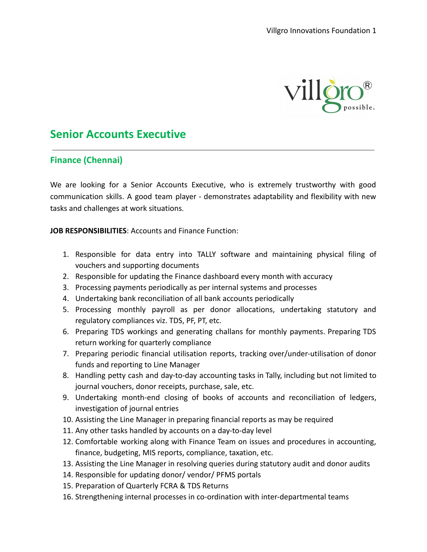

## **Senior Accounts Executive**

## **Finance (Chennai)**

We are looking for a Senior Accounts Executive, who is extremely trustworthy with good communication skills. A good team player - demonstrates adaptability and flexibility with new tasks and challenges at work situations.

**JOB RESPONSIBILITIES**: Accounts and Finance Function:

- 1. Responsible for data entry into TALLY software and maintaining physical filing of vouchers and supporting documents
- 2. Responsible for updating the Finance dashboard every month with accuracy
- 3. Processing payments periodically as per internal systems and processes
- 4. Undertaking bank reconciliation of all bank accounts periodically
- 5. Processing monthly payroll as per donor allocations, undertaking statutory and regulatory compliances viz. TDS, PF, PT, etc.
- 6. Preparing TDS workings and generating challans for monthly payments. Preparing TDS return working for quarterly compliance
- 7. Preparing periodic financial utilisation reports, tracking over/under-utilisation of donor funds and reporting to Line Manager
- 8. Handling petty cash and day-to-day accounting tasks in Tally, including but not limited to journal vouchers, donor receipts, purchase, sale, etc.
- 9. Undertaking month-end closing of books of accounts and reconciliation of ledgers, investigation of journal entries
- 10. Assisting the Line Manager in preparing financial reports as may be required
- 11. Any other tasks handled by accounts on a day-to-day level
- 12. Comfortable working along with Finance Team on issues and procedures in accounting, finance, budgeting, MIS reports, compliance, taxation, etc.
- 13. Assisting the Line Manager in resolving queries during statutory audit and donor audits
- 14. Responsible for updating donor/ vendor/ PFMS portals
- 15. Preparation of Quarterly FCRA & TDS Returns
- 16. Strengthening internal processes in co-ordination with inter-departmental teams